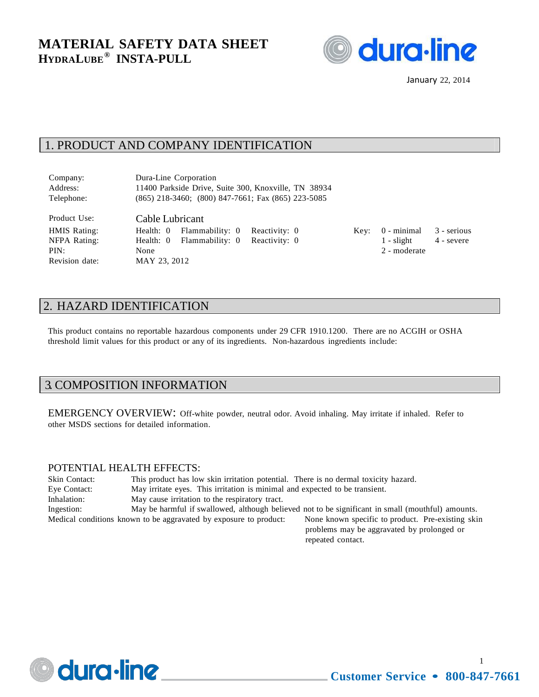

January 22, 2014

## 1. PRODUCT AND COMPANY IDENTIFICATION

| Company:   | Dura-Line Corporation                                    |
|------------|----------------------------------------------------------|
| Address:   | 11400 Parkside Drive, Suite 300, Knoxville, TN 38934     |
| Telephone: | $(865)$ 218-3460; $(800)$ 847-7661; Fax $(865)$ 223-5085 |

Revision date: MAY 23, 2012

Product Use: Cable Lubricant PIN: None 2 - moderate

HMIS Rating: Health: 0 Flammability: 0 Reactivity: 0 Key: 0 - minimal 3 - serious NFPA Rating: Health: 0 Flammability: 0 Reactivity: 0 1 - slight 4 - severe

# 2. HAZARD IDENTIFICATION

This product contains no reportable hazardous components under 29 CFR 1910.1200. There are no ACGIH or OSHA threshold limit values for this product or any of its ingredients. Non-hazardous ingredients include:

#### 3. COMPOSITION INFORMATION

EMERGENCY OVERVIEW: Off-white powder, neutral odor. Avoid inhaling. May irritate if inhaled. Refer to other MSDS sections for detailed information.

#### POTENTIAL HEALTH EFFECTS:

| <b>Skin Contact:</b> | This product has low skin irritation potential. There is no dermal toxicity hazard.                                    |
|----------------------|------------------------------------------------------------------------------------------------------------------------|
| Eye Contact:         | May irritate eyes. This irritation is minimal and expected to be transient.                                            |
| Inhalation:          | May cause irritation to the respiratory tract.                                                                         |
| Ingestion:           | May be harmful if swallowed, although believed not to be significant in small (mouthful) amounts.                      |
|                      | None known specific to product. Pre-existing skin<br>Medical conditions known to be aggravated by exposure to product: |
|                      |                                                                                                                        |

problems may be aggravated by prolonged or repeated contact.



1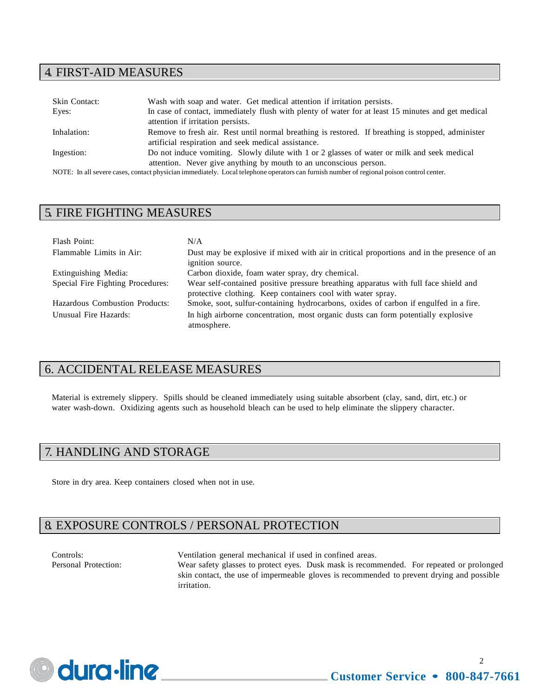## 4. FIRST-AID MEASURES

| Skin Contact:                                                                                                                             | Wash with soap and water. Get medical attention if irritation persists.                            |  |
|-------------------------------------------------------------------------------------------------------------------------------------------|----------------------------------------------------------------------------------------------------|--|
| Eyes:                                                                                                                                     | In case of contact, immediately flush with plenty of water for at least 15 minutes and get medical |  |
|                                                                                                                                           | attention if irritation persists.                                                                  |  |
| Inhalation:                                                                                                                               | Remove to fresh air. Rest until normal breathing is restored. If breathing is stopped, administer  |  |
|                                                                                                                                           | artificial respiration and seek medical assistance.                                                |  |
| Ingestion:                                                                                                                                | Do not induce vomiting. Slowly dilute with 1 or 2 glasses of water or milk and seek medical        |  |
|                                                                                                                                           | attention. Never give anything by mouth to an unconscious person.                                  |  |
| NOTE: In all severe cases, contact physician immediately. Local telephone operators can furnish number of regional poison control center. |                                                                                                    |  |

## 5. FIRE FIGHTING MEASURES

| Flash Point:                      | N/A                                                                                                                                                |
|-----------------------------------|----------------------------------------------------------------------------------------------------------------------------------------------------|
| Flammable Limits in Air:          | Dust may be explosive if mixed with air in critical proportions and in the presence of an<br>ignition source.                                      |
| Extinguishing Media:              | Carbon dioxide, foam water spray, dry chemical.                                                                                                    |
| Special Fire Fighting Procedures: | Wear self-contained positive pressure breathing apparatus with full face shield and<br>protective clothing. Keep containers cool with water spray. |
| Hazardous Combustion Products:    | Smoke, soot, sulfur-containing hydrocarbons, oxides of carbon if engulfed in a fire.                                                               |
| Unusual Fire Hazards:             | In high airborne concentration, most organic dusts can form potentially explosive<br>atmosphere.                                                   |

# 6. ACCIDENTAL RELEASE MEASURES

Material is extremely slippery. Spills should be cleaned immediately using suitable absorbent (clay, sand, dirt, etc.) or water wash-down. Oxidizing agents such as household bleach can be used to help eliminate the slippery character.

# 7. HANDLING AND STORAGE

Store in dry area. Keep containers closed when not in use.

# 8. EXPOSURE CONTROLS / PERSONAL PROTECTION

Controls: Ventilation general mechanical if used in confined areas.

Personal Protection: Wear safety glasses to protect eyes. Dusk mask is recommended. For repeated or prolonged skin contact, the use of impermeable gloves is recommended to prevent drying and possible irritation.

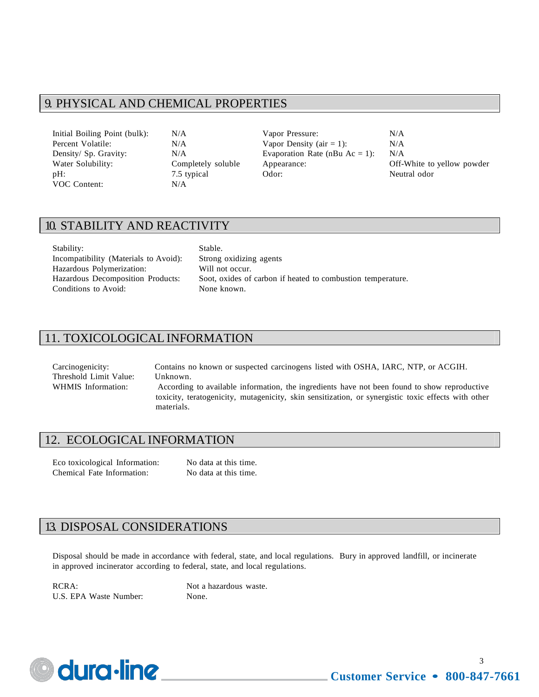## 9. PHYSICAL AND CHEMICAL PROPERTIES

VOC Content: N/A

Initial Boiling Point (bulk): N/A Vapor Pressure: N/A Percent Volatile:  $N/A$  Vapor Density (air = 1):  $N/A$ Density/ Sp. Gravity:  $N/A$  Evaporation Rate (nBu Ac = 1):  $N/A$ Water Solubility: Completely soluble Appearance: Off-White to yellow powder pH: 7.5 typical Odor: Neutral odor

# 10. STABILITY AND REACTIVITY

Stability: Stable. Incompatibility (Materials to Avoid): Strong oxidizing agents Hazardous Polymerization: Will not occur. Conditions to Avoid: None known.

Hazardous Decomposition Products: Soot, oxides of carbon if heated to combustion temperature.

# 11. TOXICOLOGICAL INFORMATION

Carcinogenicity: Contains no known or suspected carcinogens listed with OSHA, IARC, NTP, or ACGIH. Threshold Limit Value: Unknown. WHMIS Information: According to available information, the ingredients have not been found to show reproductive toxicity, teratogenicity, mutagenicity, skin sensitization, or synergistic toxic effects with other materials.

#### 12. ECOLOGICAL INFORMATION

Eco toxicological Information: No data at this time. Chemical Fate Information: No data at this time.

## 13. DISPOSAL CONSIDERATIONS

Disposal should be made in accordance with federal, state, and local regulations. Bury in approved landfill, or incinerate in approved incinerator according to federal, state, and local regulations.

RCRA: Not a hazardous waste. U.S. EPA Waste Number: None.